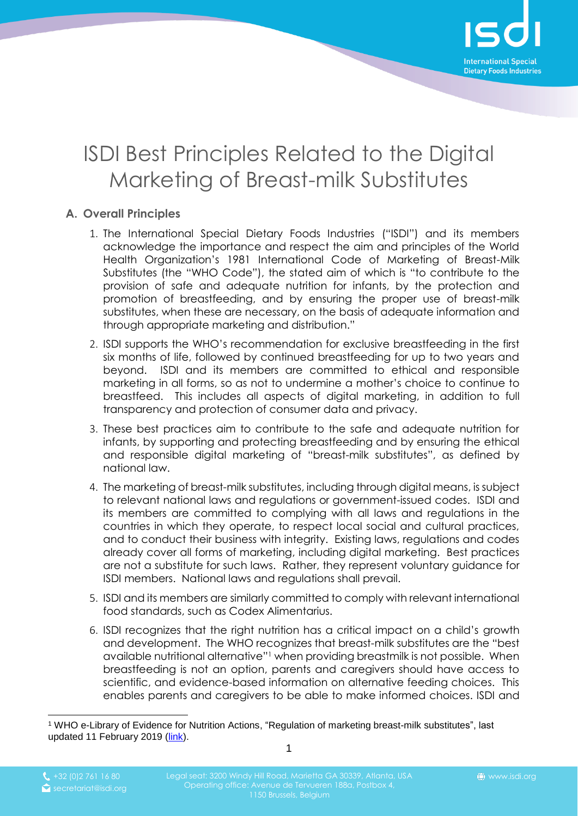

## ISDI Best Principles Related to the Digital Marketing of Breast-milk Substitutes

## **A. Overall Principles**

- 1. The International Special Dietary Foods Industries ("ISDI") and its members acknowledge the importance and respect the aim and principles of the World Health Organization's 1981 International Code of Marketing of Breast-Milk Substitutes (the "WHO Code"), the stated aim of which is "to contribute to the provision of safe and adequate nutrition for infants, by the protection and promotion of breastfeeding, and by ensuring the proper use of breast-milk substitutes, when these are necessary, on the basis of adequate information and through appropriate marketing and distribution."
- 2. ISDI supports the WHO's recommendation for exclusive breastfeeding in the first six months of life, followed by continued breastfeeding for up to two years and beyond. ISDI and its members are committed to ethical and responsible marketing in all forms, so as not to undermine a mother's choice to continue to breastfeed. This includes all aspects of digital marketing, in addition to full transparency and protection of consumer data and privacy.
- 3. These best practices aim to contribute to the safe and adequate nutrition for infants, by supporting and protecting breastfeeding and by ensuring the ethical and responsible digital marketing of "breast-milk substitutes", as defined by national law.
- 4. The marketing of breast-milk substitutes, including through digital means, is subject to relevant national laws and regulations or government-issued codes. ISDI and its members are committed to complying with all laws and regulations in the countries in which they operate, to respect local social and cultural practices, and to conduct their business with integrity. Existing laws, regulations and codes already cover all forms of marketing, including digital marketing. Best practices are not a substitute for such laws. Rather, they represent voluntary guidance for ISDI members. National laws and regulations shall prevail.
- 5. ISDI and its members are similarly committed to comply with relevant international food standards, such as Codex Alimentarius.
- 6. ISDI recognizes that the right nutrition has a critical impact on a child's growth and development. The WHO recognizes that breast-milk substitutes are the "best available nutritional alternative"<sup>1</sup> when providing breastmilk is not possible. When breastfeeding is not an option, parents and caregivers should have access to scientific, and evidence-based information on alternative feeding choices. This enables parents and caregivers to be able to make informed choices. ISDI and

 $\overline{a}$ 

1

<sup>1</sup> WHO e-Library of Evidence for Nutrition Actions, "Regulation of marketing breast-milk substitutes", last updated 11 February 2019 [\(link\)](https://www.who.int/elena/titles/regulation_breast-milk_substitutes/en/).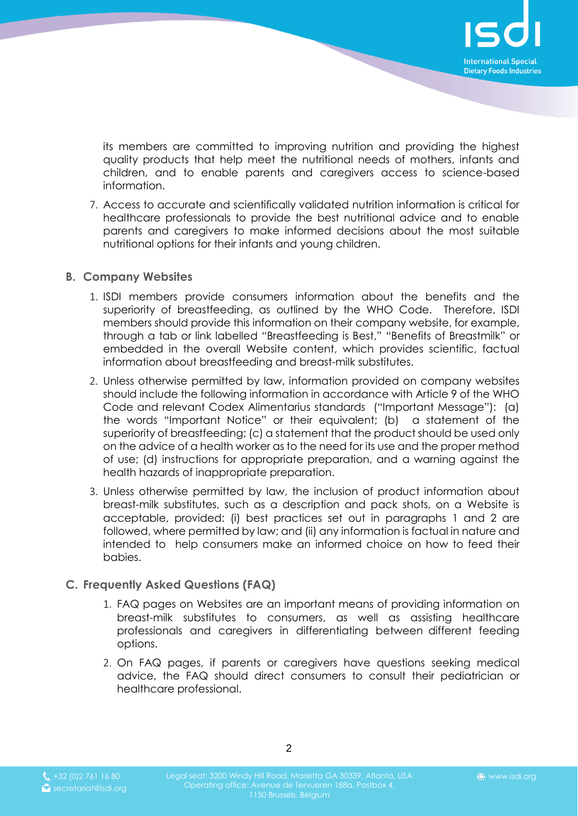

its members are committed to improving nutrition and providing the highest quality products that help meet the nutritional needs of mothers, infants and children, and to enable parents and caregivers access to science-based information.

7. Access to accurate and scientifically validated nutrition information is critical for healthcare professionals to provide the best nutritional advice and to enable parents and caregivers to make informed decisions about the most suitable nutritional options for their infants and young children.

## <span id="page-1-0"></span>**B. Company Websites**

- 1. ISDI members provide consumers information about the benefits and the superiority of breastfeeding, as outlined by the WHO Code. Therefore, ISDI members should provide this information on their company website, for example, through a tab or link labelled "Breastfeeding is Best," "Benefits of Breastmilk" or embedded in the overall Website content, which provides scientific, factual information about breastfeeding and breast-milk substitutes.
- <span id="page-1-1"></span>2. Unless otherwise permitted by law, information provided on company websites should include the following information in accordance with Article 9 of the WHO Code and relevant Codex Alimentarius standards ("Important Message"): (a) the words "Important Notice" or their equivalent; (b) a statement of the superiority of breastfeeding; (c) a statement that the product should be used only on the advice of a health worker as to the need for its use and the proper method of use; (d) instructions for appropriate preparation, and a warning against the health hazards of inappropriate preparation.
- 3. Unless otherwise permitted by law, the inclusion of product information about breast-milk substitutes, such as a description and pack shots, on a Website is acceptable, provided: (i) best practices set out in paragraphs [1](#page-1-0) and [2](#page-1-1) are followed, where permitted by law; and (ii) any information is factual in nature and intended to help consumers make an informed choice on how to feed their babies.

## **C. Frequently Asked Questions (FAQ)**

- 1. FAQ pages on Websites are an important means of providing information on breast-milk substitutes to consumers, as well as assisting healthcare professionals and caregivers in differentiating between different feeding options.
- 2. On FAQ pages, if parents or caregivers have questions seeking medical advice, the FAQ should direct consumers to consult their pediatrician or healthcare professional.

2